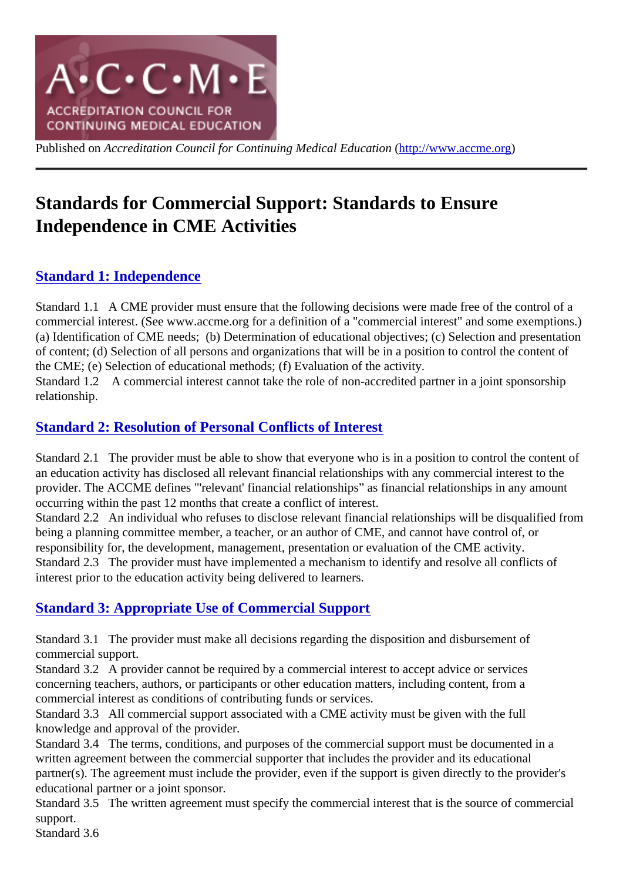

Published on *Accreditation Council for Continuing Medical Education* [\(http://www.accme.org\)](http://www.accme.org)

# **Standards for Commercial Support: Standards to Ensure Independence in CME Activities**

## **[Standard 1: Independence](http://www.accme.org/nodequeue/14)**

Standard 1.1 A CME provider must ensure that the following decisions were made free of the control of a commercial interest. (See www.accme.org for a definition of a "commercial interest" and some exemptions.) (a) Identification of CME needs; (b) Determination of educational objectives; (c) Selection and presentation of content; (d) Selection of all persons and organizations that will be in a position to control the content of the CME; (e) Selection of educational methods; (f) Evaluation of the activity.

Standard 1.2 A commercial interest cannot take the role of non-accredited partner in a joint sponsorship relationship.

#### **[Standard 2: Resolution of Personal Conflicts of Interest](http://www.accme.org/nodequeue/15)**

Standard 2.1 The provider must be able to show that everyone who is in a position to control the content of an education activity has disclosed all relevant financial relationships with any commercial interest to the provider. The ACCME defines "'relevant' financial relationships" as financial relationships in any amount occurring within the past 12 months that create a conflict of interest.

Standard 2.2 An individual who refuses to disclose relevant financial relationships will be disqualified from being a planning committee member, a teacher, or an author of CME, and cannot have control of, or responsibility for, the development, management, presentation or evaluation of the CME activity. Standard 2.3 The provider must have implemented a mechanism to identify and resolve all conflicts of interest prior to the education activity being delivered to learners.

## **[Standard 3: Appropriate Use of Commercial Support](http://www.accme.org/nodequeue/16)**

Standard 3.1 The provider must make all decisions regarding the disposition and disbursement of commercial support.

Standard 3.2 A provider cannot be required by a commercial interest to accept advice or services concerning teachers, authors, or participants or other education matters, including content, from a commercial interest as conditions of contributing funds or services.

Standard 3.3 All commercial support associated with a CME activity must be given with the full knowledge and approval of the provider.

Standard 3.4 The terms, conditions, and purposes of the commercial support must be documented in a written agreement between the commercial supporter that includes the provider and its educational partner(s). The agreement must include the provider, even if the support is given directly to the provider's educational partner or a joint sponsor.

Standard 3.5 The written agreement must specify the commercial interest that is the source of commercial support.

Standard 3.6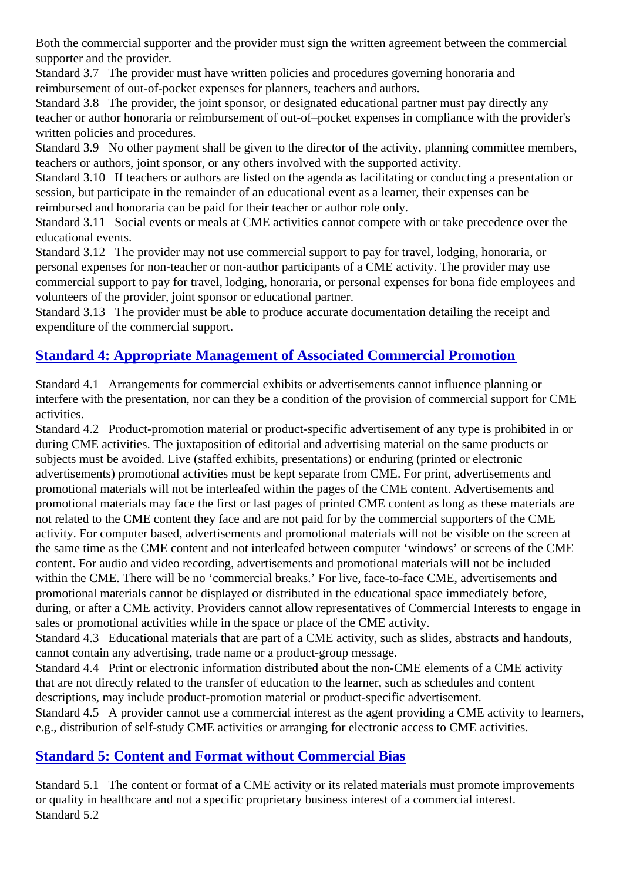Both the commercial supporter and the provider must sign the written agreement between the commercial supporter and the provider.

Standard 3.7 The provider must have written policies and procedures governing honoraria and reimbursement of out-of-pocket expenses for planners, teachers and authors.

Standard 3.8 The provider, the joint sponsor, or designated educational partner must pay directly any teacher or author honoraria or reimbursement of out-of–pocket expenses in compliance with the provider's written policies and procedures.

Standard 3.9 No other payment shall be given to the director of the activity, planning committee members, teachers or authors, joint sponsor, or any others involved with the supported activity.

Standard 3.10 If teachers or authors are listed on the agenda as facilitating or conducting a presentation or session, but participate in the remainder of an educational event as a learner, their expenses can be reimbursed and honoraria can be paid for their teacher or author role only.

Standard 3.11 Social events or meals at CME activities cannot compete with or take precedence over the educational events.

Standard 3.12 The provider may not use commercial support to pay for travel, lodging, honoraria, or personal expenses for non-teacher or non-author participants of a CME activity. The provider may use commercial support to pay for travel, lodging, honoraria, or personal expenses for bona fide employees and volunteers of the provider, joint sponsor or educational partner.

Standard 3.13 The provider must be able to produce accurate documentation detailing the receipt and expenditure of the commercial support.

# **[Standard 4: Appropriate Management of Associated Commercial Promotion](http://www.accme.org/nodequeue/17)**

Standard 4.1 Arrangements for commercial exhibits or advertisements cannot influence planning or interfere with the presentation, nor can they be a condition of the provision of commercial support for CME activities.

Standard 4.2 Product-promotion material or product-specific advertisement of any type is prohibited in or during CME activities. The juxtaposition of editorial and advertising material on the same products or subjects must be avoided. Live (staffed exhibits, presentations) or enduring (printed or electronic advertisements) promotional activities must be kept separate from CME. For print, advertisements and promotional materials will not be interleafed within the pages of the CME content. Advertisements and promotional materials may face the first or last pages of printed CME content as long as these materials are not related to the CME content they face and are not paid for by the commercial supporters of the CME activity. For computer based, advertisements and promotional materials will not be visible on the screen at the same time as the CME content and not interleafed between computer 'windows' or screens of the CME content. For audio and video recording, advertisements and promotional materials will not be included within the CME. There will be no 'commercial breaks.' For live, face-to-face CME, advertisements and promotional materials cannot be displayed or distributed in the educational space immediately before, during, or after a CME activity. Providers cannot allow representatives of Commercial Interests to engage in sales or promotional activities while in the space or place of the CME activity.

Standard 4.3 Educational materials that are part of a CME activity, such as slides, abstracts and handouts, cannot contain any advertising, trade name or a product-group message.

Standard 4.4 Print or electronic information distributed about the non-CME elements of a CME activity that are not directly related to the transfer of education to the learner, such as schedules and content descriptions, may include product-promotion material or product-specific advertisement. Standard 4.5 A provider cannot use a commercial interest as the agent providing a CME activity to learners,

# e.g., distribution of self-study CME activities or arranging for electronic access to CME activities.

# **[Standard 5: Content and Format without Commercial Bias](http://www.accme.org/nodequeue/18)**

Standard 5.1 The content or format of a CME activity or its related materials must promote improvements or quality in healthcare and not a specific proprietary business interest of a commercial interest. Standard 5.2